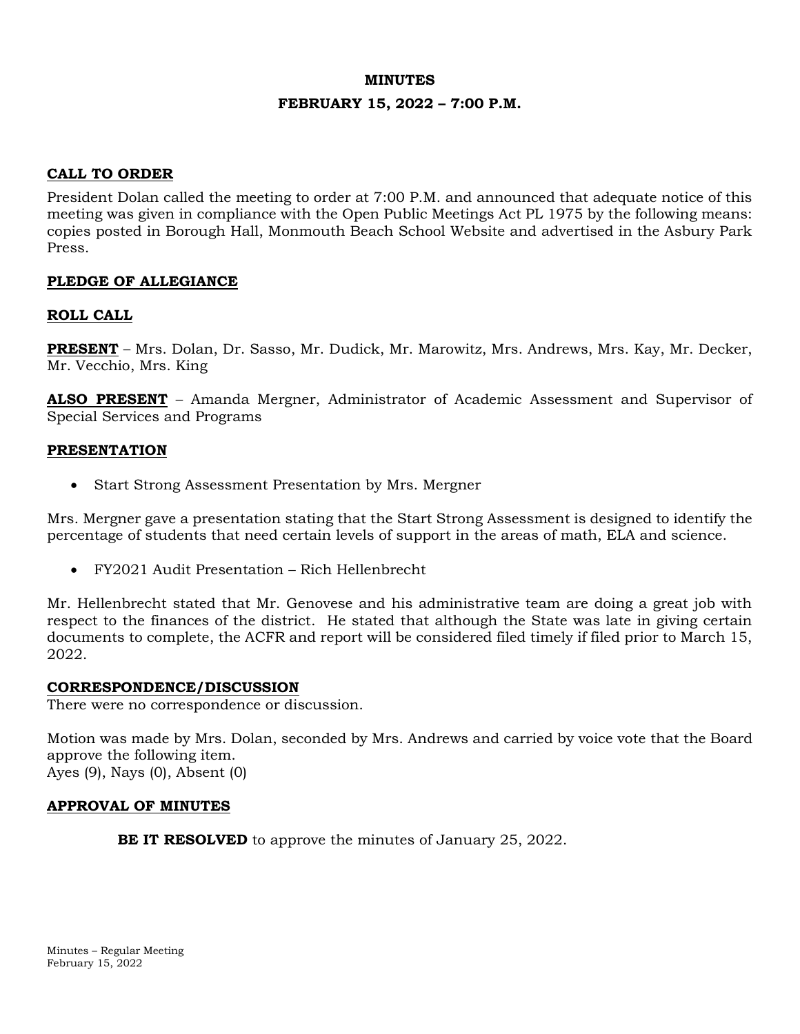# **MINUTES FEBRUARY 15, 2022 – 7:00 P.M.**

### **CALL TO ORDER**

President Dolan called the meeting to order at 7:00 P.M. and announced that adequate notice of this meeting was given in compliance with the Open Public Meetings Act PL 1975 by the following means: copies posted in Borough Hall, Monmouth Beach School Website and advertised in the Asbury Park Press.

### **PLEDGE OF ALLEGIANCE**

### **ROLL CALL**

**PRESENT** – Mrs. Dolan, Dr. Sasso, Mr. Dudick, Mr. Marowitz, Mrs. Andrews, Mrs. Kay, Mr. Decker, Mr. Vecchio, Mrs. King

**ALSO PRESENT** – Amanda Mergner, Administrator of Academic Assessment and Supervisor of Special Services and Programs

#### **PRESENTATION**

• Start Strong Assessment Presentation by Mrs. Mergner

Mrs. Mergner gave a presentation stating that the Start Strong Assessment is designed to identify the percentage of students that need certain levels of support in the areas of math, ELA and science.

• FY2021 Audit Presentation – Rich Hellenbrecht

Mr. Hellenbrecht stated that Mr. Genovese and his administrative team are doing a great job with respect to the finances of the district. He stated that although the State was late in giving certain documents to complete, the ACFR and report will be considered filed timely if filed prior to March 15, 2022.

#### **CORRESPONDENCE/DISCUSSION**

There were no correspondence or discussion.

Motion was made by Mrs. Dolan, seconded by Mrs. Andrews and carried by voice vote that the Board approve the following item. Ayes (9), Nays (0), Absent (0)

#### **APPROVAL OF MINUTES**

**BE IT RESOLVED** to approve the minutes of January 25, 2022.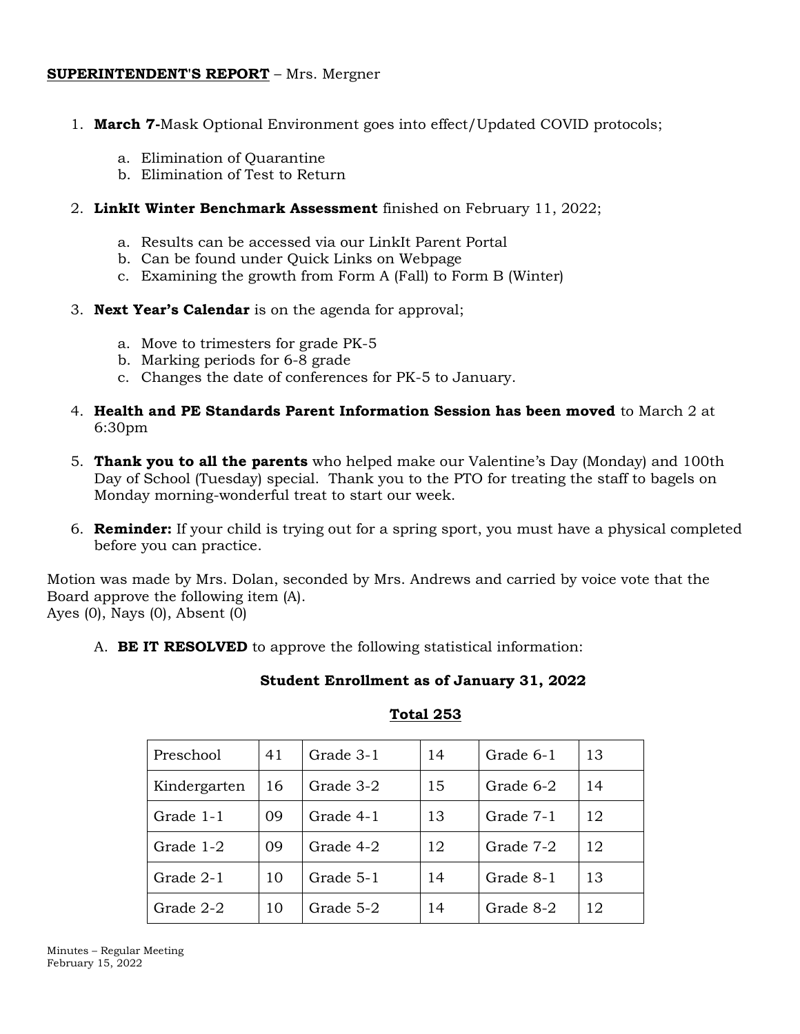#### **SUPERINTENDENT'S REPORT** – Mrs. Mergner

- 1. **March 7-**Mask Optional Environment goes into effect/Updated COVID protocols;
	- a. Elimination of Quarantine
	- b. Elimination of Test to Return
- 2. **LinkIt Winter Benchmark Assessment** finished on February 11, 2022;
	- a. Results can be accessed via our LinkIt Parent Portal
	- b. Can be found under Quick Links on Webpage
	- c. Examining the growth from Form A (Fall) to Form B (Winter)
- 3. **Next Year's Calendar** is on the agenda for approval;
	- a. Move to trimesters for grade PK-5
	- b. Marking periods for 6-8 grade
	- c. Changes the date of conferences for PK-5 to January.
- 4. **Health and PE Standards Parent Information Session has been moved** to March 2 at 6:30pm
- 5. **Thank you to all the parents** who helped make our Valentine's Day (Monday) and 100th Day of School (Tuesday) special. Thank you to the PTO for treating the staff to bagels on Monday morning-wonderful treat to start our week.
- 6. **Reminder:** If your child is trying out for a spring sport, you must have a physical completed before you can practice.

Motion was made by Mrs. Dolan, seconded by Mrs. Andrews and carried by voice vote that the Board approve the following item (A).

Ayes (0), Nays (0), Absent (0)

A. **BE IT RESOLVED** to approve the following statistical information:

**Student Enrollment as of January 31, 2022**

#### **Total 253**

| Preschool    | 41 | Grade 3-1 | 14 | Grade 6-1 | 13 |
|--------------|----|-----------|----|-----------|----|
| Kindergarten | 16 | Grade 3-2 | 15 | Grade 6-2 | 14 |
| Grade 1-1    | 09 | Grade 4-1 | 13 | Grade 7-1 | 12 |
| Grade 1-2    | 09 | Grade 4-2 | 12 | Grade 7-2 | 12 |
| Grade 2-1    | 10 | Grade 5-1 | 14 | Grade 8-1 | 13 |
| Grade 2-2    | 10 | Grade 5-2 | 14 | Grade 8-2 | 12 |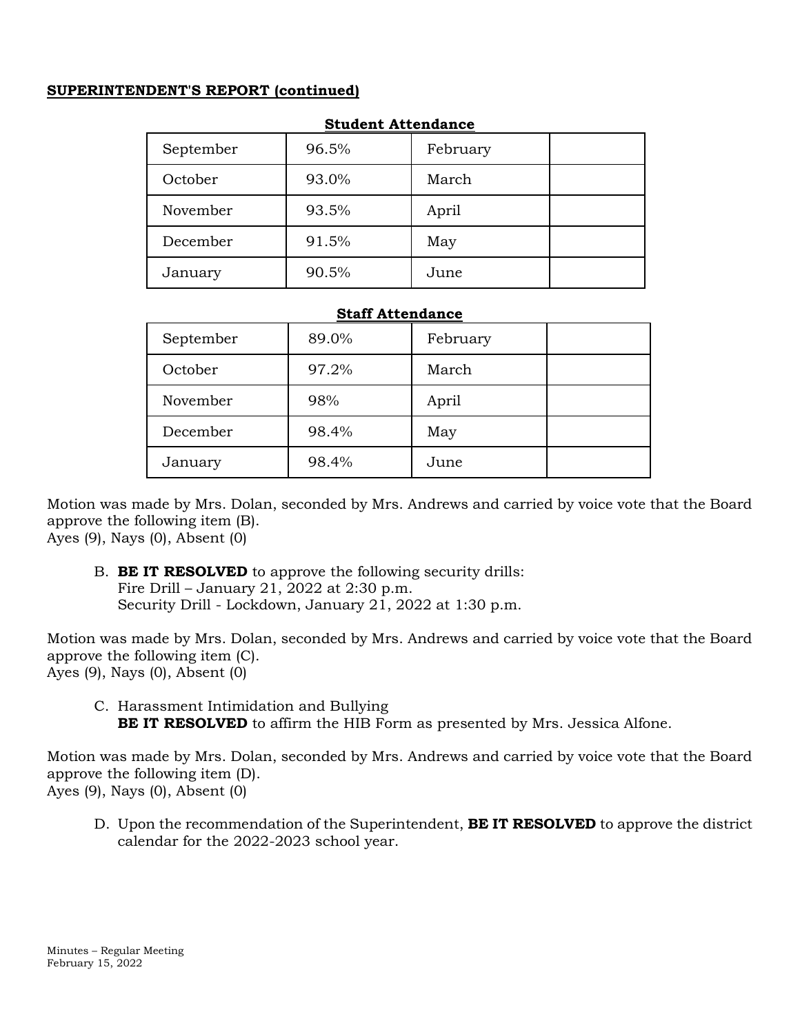### **SUPERINTENDENT'S REPORT (continued)**

| September | 96.5% | February |  |  |
|-----------|-------|----------|--|--|
| October   | 93.0% | March    |  |  |
| November  | 93.5% | April    |  |  |
| December  | 91.5% | May      |  |  |
| January   | 90.5% | June     |  |  |

### **Student Attendance**

#### **Staff Attendance**

| September | 89.0% | February |  |
|-----------|-------|----------|--|
| October   | 97.2% | March    |  |
| November  | 98%   | April    |  |
| December  | 98.4% | May      |  |
| January   | 98.4% | June     |  |

Motion was made by Mrs. Dolan, seconded by Mrs. Andrews and carried by voice vote that the Board approve the following item (B).

Ayes (9), Nays (0), Absent (0)

B. **BE IT RESOLVED** to approve the following security drills: Fire Drill – January 21, 2022 at 2:30 p.m. Security Drill - Lockdown, January 21, 2022 at 1:30 p.m.

Motion was made by Mrs. Dolan, seconded by Mrs. Andrews and carried by voice vote that the Board approve the following item (C). Ayes (9), Nays (0), Absent (0)

C. Harassment Intimidation and Bullying **BE IT RESOLVED** to affirm the HIB Form as presented by Mrs. Jessica Alfone.

Motion was made by Mrs. Dolan, seconded by Mrs. Andrews and carried by voice vote that the Board approve the following item (D). Ayes (9), Nays (0), Absent (0)

D. Upon the recommendation of the Superintendent, **BE IT RESOLVED** to approve the district calendar for the 2022-2023 school year.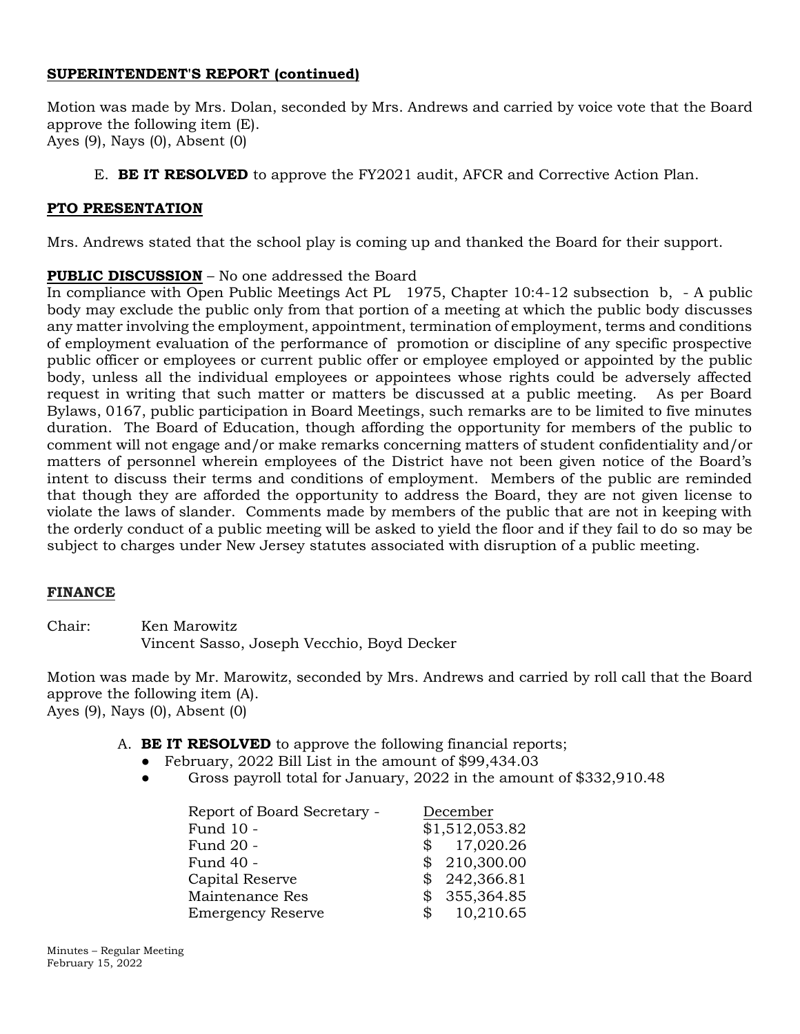### **SUPERINTENDENT'S REPORT (continued)**

Motion was made by Mrs. Dolan, seconded by Mrs. Andrews and carried by voice vote that the Board approve the following item (E). Ayes (9), Nays (0), Absent (0)

### E. **BE IT RESOLVED** to approve the FY2021 audit, AFCR and Corrective Action Plan.

### **PTO PRESENTATION**

Mrs. Andrews stated that the school play is coming up and thanked the Board for their support.

### **PUBLIC DISCUSSION** – No one addressed the Board

In compliance with Open Public Meetings Act PL 1975, Chapter 10:4-12 subsection b, - A public body may exclude the public only from that portion of a meeting at which the public body discusses any matter involving the employment, appointment, termination of employment, terms and conditions of employment evaluation of the performance of promotion or discipline of any specific prospective public officer or employees or current public offer or employee employed or appointed by the public body, unless all the individual employees or appointees whose rights could be adversely affected request in writing that such matter or matters be discussed at a public meeting. As per Board Bylaws, 0167, public participation in Board Meetings, such remarks are to be limited to five minutes duration. The Board of Education, though affording the opportunity for members of the public to comment will not engage and/or make remarks concerning matters of student confidentiality and/or matters of personnel wherein employees of the District have not been given notice of the Board's intent to discuss their terms and conditions of employment. Members of the public are reminded that though they are afforded the opportunity to address the Board, they are not given license to violate the laws of slander. Comments made by members of the public that are not in keeping with the orderly conduct of a public meeting will be asked to yield the floor and if they fail to do so may be subject to charges under New Jersey statutes associated with disruption of a public meeting.

### **FINANCE**

Chair: Ken Marowitz Vincent Sasso, Joseph Vecchio, Boyd Decker

Motion was made by Mr. Marowitz, seconded by Mrs. Andrews and carried by roll call that the Board approve the following item (A). Ayes (9), Nays (0), Absent (0)

- A. **BE IT RESOLVED** to approve the following financial reports;
	- February, 2022 Bill List in the amount of \$99,434.03
	- Gross payroll total for January, 2022 in the amount of \$332,910.48

| Report of Board Secretary - | December       |
|-----------------------------|----------------|
| Fund 10 -                   | \$1,512,053.82 |
| Fund 20 -                   | \$17,020.26    |
| Fund 40 -                   | \$210,300.00   |
| Capital Reserve             | \$242,366.81   |
| Maintenance Res             | \$355,364.85   |
| <b>Emergency Reserve</b>    | 10,210.65      |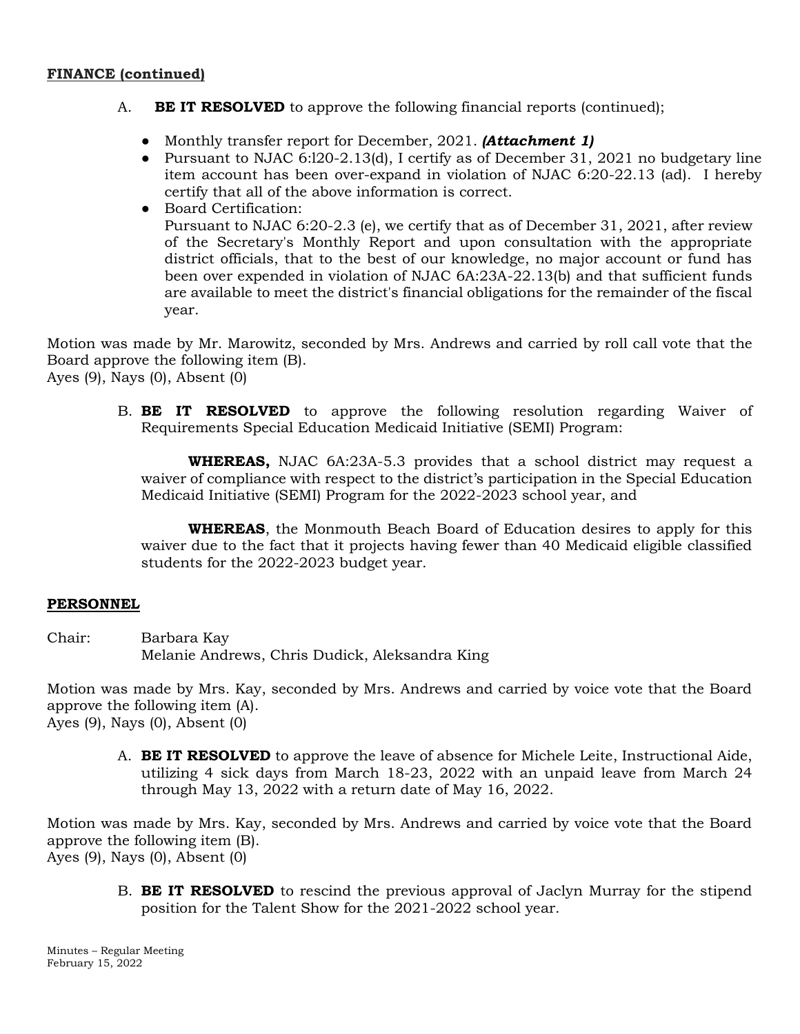- A. **BE IT RESOLVED** to approve the following financial reports (continued);
	- Monthly transfer report for December, 2021. *(Attachment 1)*
	- Pursuant to NJAC 6:120-2.13(d), I certify as of December 31, 2021 no budgetary line item account has been over-expand in violation of NJAC 6:20-22.13 (ad). I hereby certify that all of the above information is correct.
	- Board Certification: Pursuant to NJAC 6:20-2.3 (e), we certify that as of December 31, 2021, after review of the Secretary's Monthly Report and upon consultation with the appropriate district officials, that to the best of our knowledge, no major account or fund has been over expended in violation of NJAC 6A:23A-22.13(b) and that sufficient funds are available to meet the district's financial obligations for the remainder of the fiscal year.

Motion was made by Mr. Marowitz, seconded by Mrs. Andrews and carried by roll call vote that the Board approve the following item (B). Ayes (9), Nays (0), Absent (0)

B. **BE IT RESOLVED** to approve the following resolution regarding Waiver of Requirements Special Education Medicaid Initiative (SEMI) Program:

**WHEREAS,** NJAC 6A:23A-5.3 provides that a school district may request a waiver of compliance with respect to the district's participation in the Special Education Medicaid Initiative (SEMI) Program for the 2022-2023 school year, and

**WHEREAS**, the Monmouth Beach Board of Education desires to apply for this waiver due to the fact that it projects having fewer than 40 Medicaid eligible classified students for the 2022-2023 budget year.

## **PERSONNEL**

Chair: Barbara Kay Melanie Andrews, Chris Dudick, Aleksandra King

Motion was made by Mrs. Kay, seconded by Mrs. Andrews and carried by voice vote that the Board approve the following item (A). Ayes (9), Nays (0), Absent (0)

A. **BE IT RESOLVED** to approve the leave of absence for Michele Leite, Instructional Aide, utilizing 4 sick days from March 18-23, 2022 with an unpaid leave from March 24 through May 13, 2022 with a return date of May 16, 2022.

Motion was made by Mrs. Kay, seconded by Mrs. Andrews and carried by voice vote that the Board approve the following item (B). Ayes (9), Nays (0), Absent (0)

B. **BE IT RESOLVED** to rescind the previous approval of Jaclyn Murray for the stipend position for the Talent Show for the 2021-2022 school year.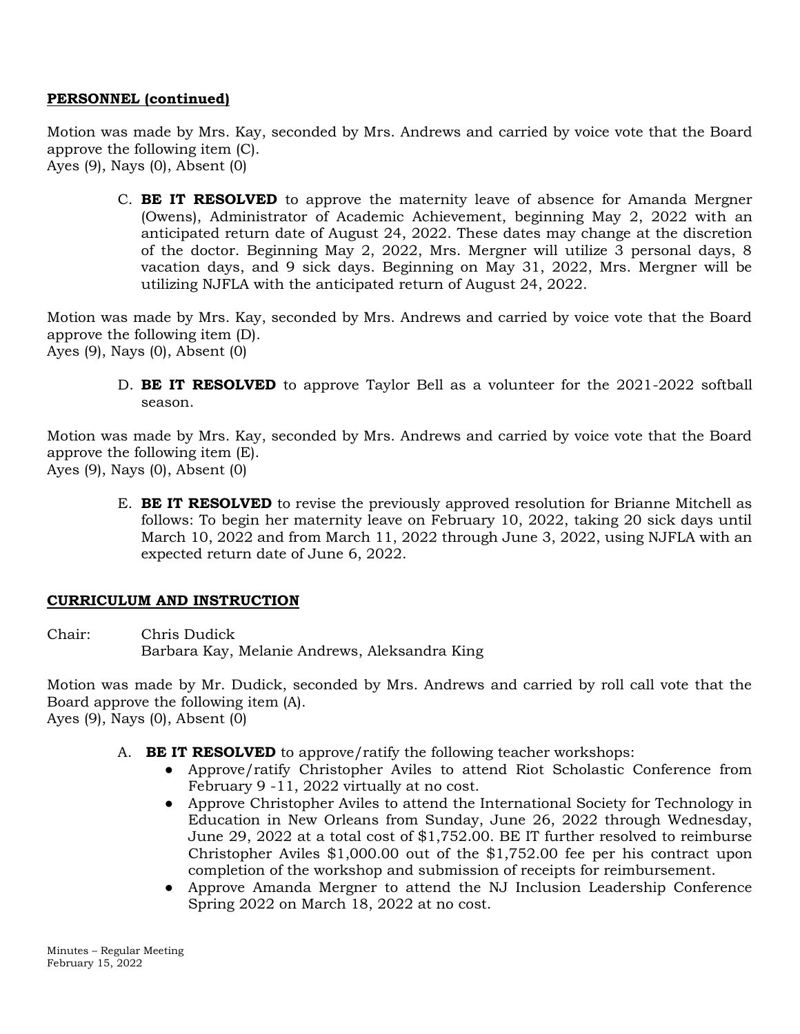### **PERSONNEL (continued)**

Motion was made by Mrs. Kay, seconded by Mrs. Andrews and carried by voice vote that the Board approve the following item (C). Ayes (9), Nays (0), Absent (0)

C. **BE IT RESOLVED** to approve the maternity leave of absence for Amanda Mergner (Owens), Administrator of Academic Achievement, beginning May 2, 2022 with an anticipated return date of August 24, 2022. These dates may change at the discretion of the doctor. Beginning May 2, 2022, Mrs. Mergner will utilize 3 personal days, 8 vacation days, and 9 sick days. Beginning on May 31, 2022, Mrs. Mergner will be utilizing NJFLA with the anticipated return of August 24, 2022.

Motion was made by Mrs. Kay, seconded by Mrs. Andrews and carried by voice vote that the Board approve the following item (D). Ayes (9), Nays (0), Absent (0)

D. **BE IT RESOLVED** to approve Taylor Bell as a volunteer for the 2021-2022 softball season.

Motion was made by Mrs. Kay, seconded by Mrs. Andrews and carried by voice vote that the Board approve the following item (E). Ayes (9), Nays (0), Absent (0)

E. **BE IT RESOLVED** to revise the previously approved resolution for Brianne Mitchell as follows: To begin her maternity leave on February 10, 2022, taking 20 sick days until March 10, 2022 and from March 11, 2022 through June 3, 2022, using NJFLA with an expected return date of June 6, 2022.

### **CURRICULUM AND INSTRUCTION**

Chair: Chris Dudick Barbara Kay, Melanie Andrews, Aleksandra King

Motion was made by Mr. Dudick, seconded by Mrs. Andrews and carried by roll call vote that the Board approve the following item (A). Ayes (9), Nays (0), Absent (0)

- A. **BE IT RESOLVED** to approve/ratify the following teacher workshops:
	- Approve/ratify Christopher Aviles to attend Riot Scholastic Conference from February 9 -11, 2022 virtually at no cost.
	- Approve Christopher Aviles to attend the International Society for Technology in Education in New Orleans from Sunday, June 26, 2022 through Wednesday, June 29, 2022 at a total cost of \$1,752.00. BE IT further resolved to reimburse Christopher Aviles \$1,000.00 out of the \$1,752.00 fee per his contract upon completion of the workshop and submission of receipts for reimbursement.
	- Approve Amanda Mergner to attend the NJ Inclusion Leadership Conference Spring 2022 on March 18, 2022 at no cost.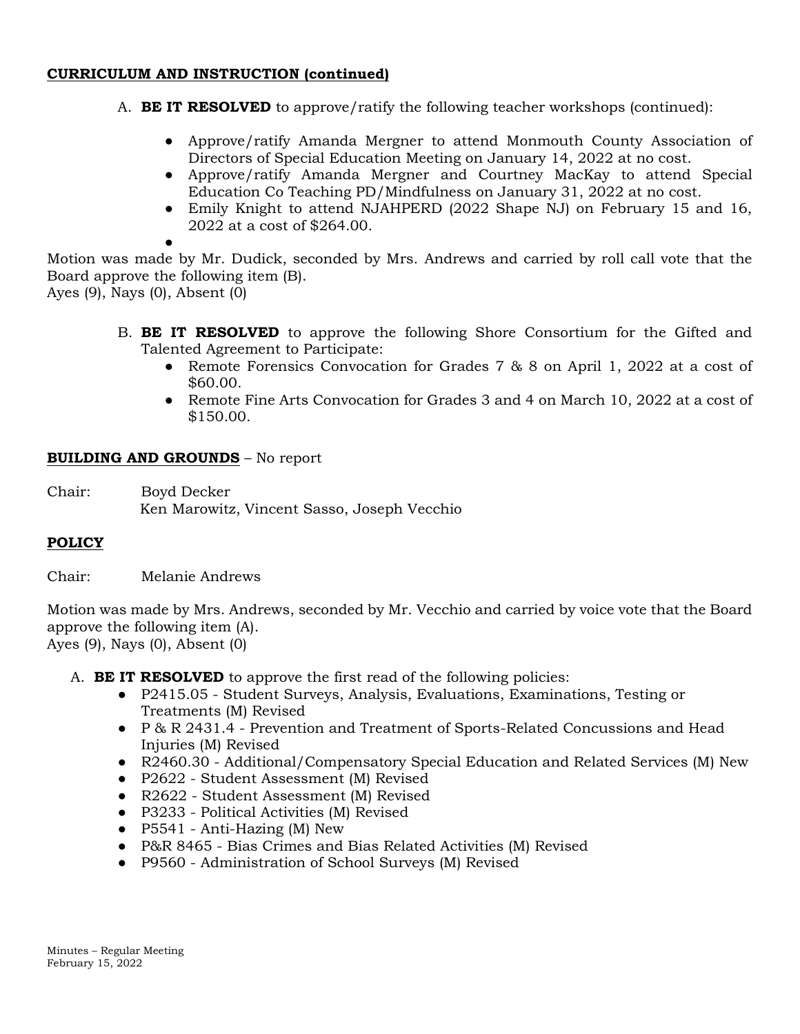- A. **BE IT RESOLVED** to approve/ratify the following teacher workshops (continued):
	- Approve/ratify Amanda Mergner to attend Monmouth County Association of Directors of Special Education Meeting on January 14, 2022 at no cost.
	- Approve/ratify Amanda Mergner and Courtney MacKay to attend Special Education Co Teaching PD/Mindfulness on January 31, 2022 at no cost.
	- Emily Knight to attend NJAHPERD (2022 Shape NJ) on February 15 and 16, 2022 at a cost of \$264.00.
	- ●

Motion was made by Mr. Dudick, seconded by Mrs. Andrews and carried by roll call vote that the Board approve the following item (B).

Ayes (9), Nays (0), Absent (0)

- B. **BE IT RESOLVED** to approve the following Shore Consortium for the Gifted and Talented Agreement to Participate:
	- Remote Forensics Convocation for Grades 7 & 8 on April 1, 2022 at a cost of \$60.00.
	- Remote Fine Arts Convocation for Grades 3 and 4 on March 10, 2022 at a cost of \$150.00.

### **BUILDING AND GROUNDS** – No report

Chair: Boyd Decker Ken Marowitz, Vincent Sasso, Joseph Vecchio

## **POLICY**

Chair: Melanie Andrews

Motion was made by Mrs. Andrews, seconded by Mr. Vecchio and carried by voice vote that the Board approve the following item (A). Ayes (9), Nays (0), Absent (0)

A. **BE IT RESOLVED** to approve the first read of the following policies:

- P2415.05 Student Surveys, Analysis, Evaluations, Examinations, Testing or Treatments (M) Revised
- P & R 2431.4 Prevention and Treatment of Sports-Related Concussions and Head Injuries (M) Revised
- R2460.30 Additional/Compensatory Special Education and Related Services (M) New
- P2622 Student Assessment (M) Revised
- R2622 Student Assessment (M) Revised
- P3233 Political Activities (M) Revised
- $\bullet$  P5541 Anti-Hazing (M) New
- P&R 8465 Bias Crimes and Bias Related Activities (M) Revised
- P9560 Administration of School Surveys (M) Revised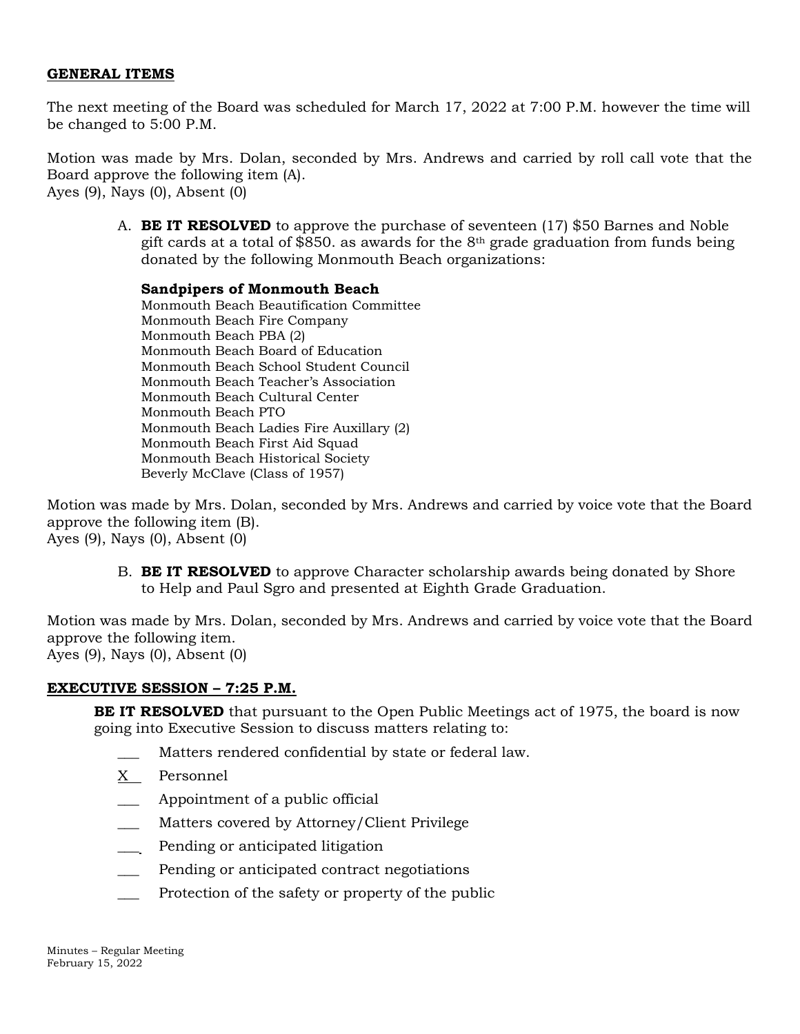#### **GENERAL ITEMS**

The next meeting of the Board was scheduled for March 17, 2022 at 7:00 P.M. however the time will be changed to 5:00 P.M.

Motion was made by Mrs. Dolan, seconded by Mrs. Andrews and carried by roll call vote that the Board approve the following item (A). Ayes (9), Nays (0), Absent (0)

A. **BE IT RESOLVED** to approve the purchase of seventeen (17) \$50 Barnes and Noble gift cards at a total of \$850. as awards for the  $8<sup>th</sup>$  grade graduation from funds being donated by the following Monmouth Beach organizations:

#### **Sandpipers of Monmouth Beach**

Monmouth Beach Beautification Committee Monmouth Beach Fire Company Monmouth Beach PBA (2) Monmouth Beach Board of Education Monmouth Beach School Student Council Monmouth Beach Teacher's Association Monmouth Beach Cultural Center Monmouth Beach PTO Monmouth Beach Ladies Fire Auxillary (2) Monmouth Beach First Aid Squad Monmouth Beach Historical Society Beverly McClave (Class of 1957)

Motion was made by Mrs. Dolan, seconded by Mrs. Andrews and carried by voice vote that the Board approve the following item (B). Ayes (9), Nays (0), Absent (0)

B. **BE IT RESOLVED** to approve Character scholarship awards being donated by Shore to Help and Paul Sgro and presented at Eighth Grade Graduation.

Motion was made by Mrs. Dolan, seconded by Mrs. Andrews and carried by voice vote that the Board approve the following item.

Ayes (9), Nays (0), Absent (0)

### **EXECUTIVE SESSION – 7:25 P.M.**

**BE IT RESOLVED** that pursuant to the Open Public Meetings act of 1975, the board is now going into Executive Session to discuss matters relating to:

- Matters rendered confidential by state or federal law.
- X Personnel
- Appointment of a public official
- Matters covered by Attorney/Client Privilege
- \_\_\_ Pending or anticipated litigation
- Pending or anticipated contract negotiations
- Protection of the safety or property of the public